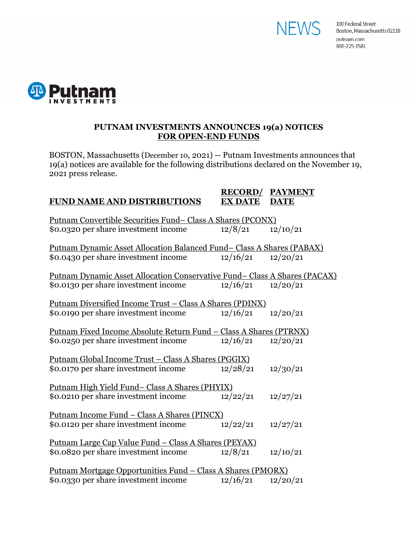



#### **PUTNAM INVESTMENTS ANNOUNCES 19(a) NOTICES FOR OPEN-END FUNDS**

BOSTON, Massachusetts (December 10, 2021) -- Putnam Investments announces that 19(a) notices are available for the following distributions declared on the November 19, 2021 press release.

#### **RECORD/ PAYMENT FUND NAME AND DISTRIBUTIONS EX DATE DATE**

| Putnam Convertible Securities Fund-Class A Shares (PCONX)                     |          |          |  |
|-------------------------------------------------------------------------------|----------|----------|--|
| \$0.0320 per share investment income                                          | 12/8/21  | 12/10/21 |  |
| <u> Putnam Dynamic Asset Allocation Balanced Fund– Class A Shares (PABAX)</u> |          |          |  |
| \$0.0430 per share investment income                                          | 12/16/21 | 12/20/21 |  |
| Putnam Dynamic Asset Allocation Conservative Fund – Class A Shares (PACAX)    |          |          |  |
| \$0.0130 per share investment income                                          | 12/16/21 | 12/20/21 |  |
| <u> Putnam Diversified Income Trust – Class A Shares (PDINX)</u>              |          |          |  |
| \$0.0190 per share investment income                                          | 12/16/21 | 12/20/21 |  |
| <u> Putnam Fixed Income Absolute Return Fund - Class A Shares (PTRNX)</u>     |          |          |  |
| \$0.0250 per share investment income                                          | 12/16/21 | 12/20/21 |  |
| <u> Putnam Global Income Trust – Class A Shares (PGGIX)</u>                   |          |          |  |
| \$0.0170 per share investment income                                          | 12/28/21 | 12/30/21 |  |
| <u>Putnam High Yield Fund-Class A Shares (PHYIX)</u>                          |          |          |  |
| \$0.0210 per share investment income                                          | 12/22/21 | 12/27/21 |  |
| <u> Putnam Income Fund – Class A Shares (PINCX)</u>                           |          |          |  |
| \$0.0120 per share investment income                                          | 12/22/21 | 12/27/21 |  |
| <u> Putnam Large Cap Value Fund – Class A Shares (PEYAX)</u>                  |          |          |  |
| \$0.0820 per share investment income                                          | 12/8/21  | 12/10/21 |  |
| <u> Putnam Mortgage Opportunities Fund – Class A Shares (PMORX)</u>           |          |          |  |
| \$0.0330 per share investment income                                          | 12/16/21 | 12/20/21 |  |